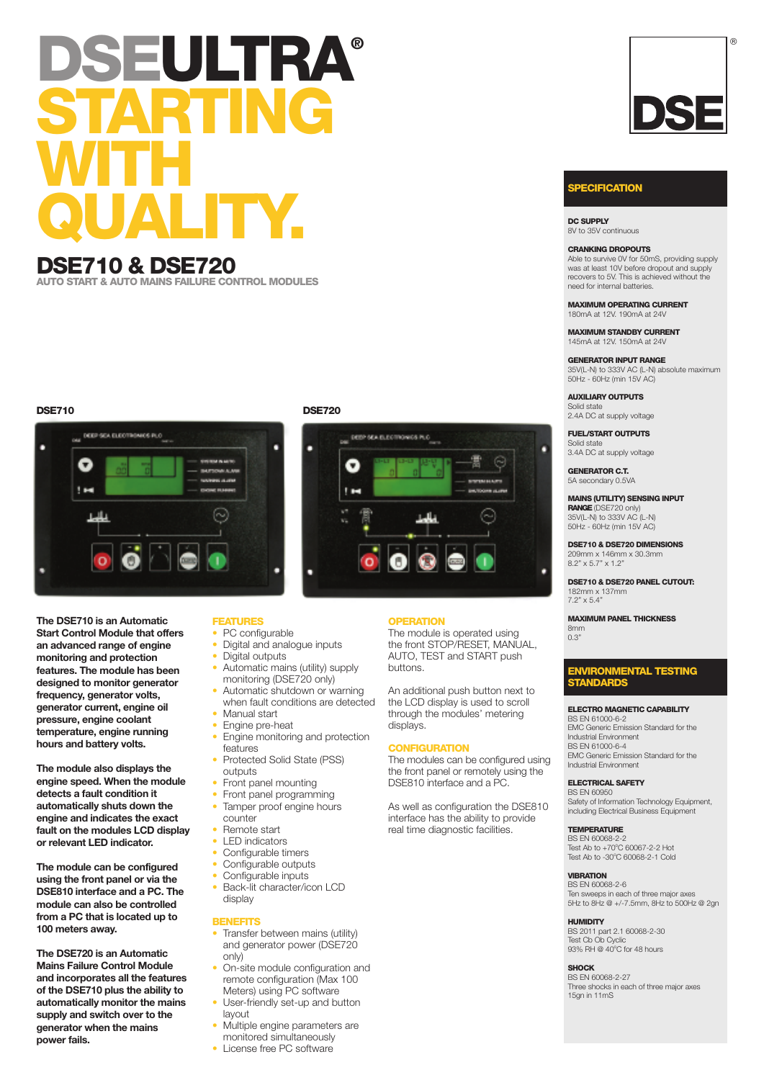# **DSEULTRA® STARTING WITH QUALITY.**

# **DSE710 & DSE720**

**AUTO START & AUTO MAINS FAILURE CONTROL MODULES**



**The DSE710 is an Automatic Start Control Module that offers an advanced range of engine monitoring and protection features. The module has been designed to monitor generator frequency, generator volts, generator current, engine oil pressure, engine coolant temperature, engine running hours and battery volts.**

**The module also displays the engine speed. When the module detects a fault condition it automatically shuts down the engine and indicates the exact fault on the modules LCD display or relevant LED indicator.**

**The module can be configured using the front panel or via the DSE810 interface and a PC. The module can also be controlled from a PC that is located up to 100 meters away.**

**The DSE720 is an Automatic Mains Failure Control Module and incorporates all the features of the DSE710 plus the ability to automatically monitor the mains supply and switch over to the generator when the mains power fails.**

## **FEATURES**

- PC configurable
	- Digital and analogue inputs
	- Digital outputs
- Automatic mains (utility) supply monitoring (DSE720 only)
- Automatic shutdown or warning when fault conditions are detected • Manual start
- Engine pre-heat
- Engine monitoring and protection features
- Protected Solid State (PSS)
- outputs
- Front panel mounting
- Front panel programming Tamper proof engine hours
- counter
- Remote start
- LED indicators
- Configurable timers
- 
- Configurable outputs<br>• Configurable inputs
- Configurable inputs Back-lit character/icon LCD display

# **BENEFITS**<br>• Transfer

- Transfer between mains (utility) and generator power (DSE720 only)
- On-site module configuration and remote configuration (Max 100 Meters) using PC software
- User-friendly set-up and button layout
- Multiple engine parameters are monitored simultaneously
- License free PC software

## **DSE710 DSE720**



## **OPERATION**

The module is operated using the front STOP/RESET, MANUAL, AUTO, TEST and START push buttons.

An additional push button next to the LCD display is used to scroll through the modules' metering displays.

## **CONFIGURATION**

The modules can be configured using the front panel or remotely using the DSE810 interface and a PC.

As well as configuration the DSE810 interface has the ability to provide real time diagnostic facilities.



®

## **PECIFICATION**

**DC SUPPLY** 8V to 35V continuous

## **CRANKING DROPOUTS**

Able to survive 0V for 50mS, providing supply was at least 10V before dropout and supply recovers to 5V. This is achieved without the need for internal batteries.

**MAXIMUM OPERATING CURRENT** 180mA at 12V. 190mA at 24V

**MAXIMUM STANDBY CURRENT** 145mA at 12V. 150mA at 24V

**GENERATOR INPUT RANGE** 35V(L-N) to 333V AC (L-N) absolute maximum 50Hz - 60Hz (min 15V AC)

**AUXILIARY OUTPUTS** Solid state 2.4A DC at supply voltage

**FUEL/START OUTPUTS** Solid state

3.4A DC at supply voltage

**GENERATOR C.T.** 5A secondary 0.5VA

## **MAINS (UTILITY) SENSING INPUT RANGE**(DSE720 only)

35V(L-N) to 333V AC (L-N) 50Hz - 60Hz (min 15V AC)

**DSE710 & DSE720 DIMENSIONS** 209mm x 146mm x 30.3mm 8.2" x 5.7" x 1.2"

**DSE710 & DSE720 PANEL CUTOUT:** 182mm x 137mm 7.2" x 5.4"

**MAXIMUM PANEL THICKNESS**

8mm 0.3"

## **ENVIRONMENTAL TESTING STANDARDS**

## **ELECTRO MAGNETIC CAPABILITY** BS EN 61000-6-2

EMC Generic Emission Standard for the Industrial Environment BS EN 61000-6-4 EMC Generic Emission Standard for the Industrial Environment

## **ELECTRICAL SAFETY**

BS EN 60950 Safety of Information Technology Equipment, including Electrical Business Equipment

## **TEMPERATURE**

BS EN 60068-2-2 Test Ab to +70°C 60067-2-2 Hot<br>Test Ab to -30°C 60068-2-1 Cold

### **VIBRATION** BS EN 60068-2-6

Ten sweeps in each of three major axes 5Hz to 8Hz @ +/-7.5mm, 8Hz to 500Hz @ 2gn

## **HUMIDITY**

BS 2011 part 2.1 60068-2-30 Test Cb Ob Cyclic<br>93% RH @ 40°C for 48 hours

**SHOCK** BS EN 60068-2-27 Three shocks in each of three major axes 15gn in 11mS